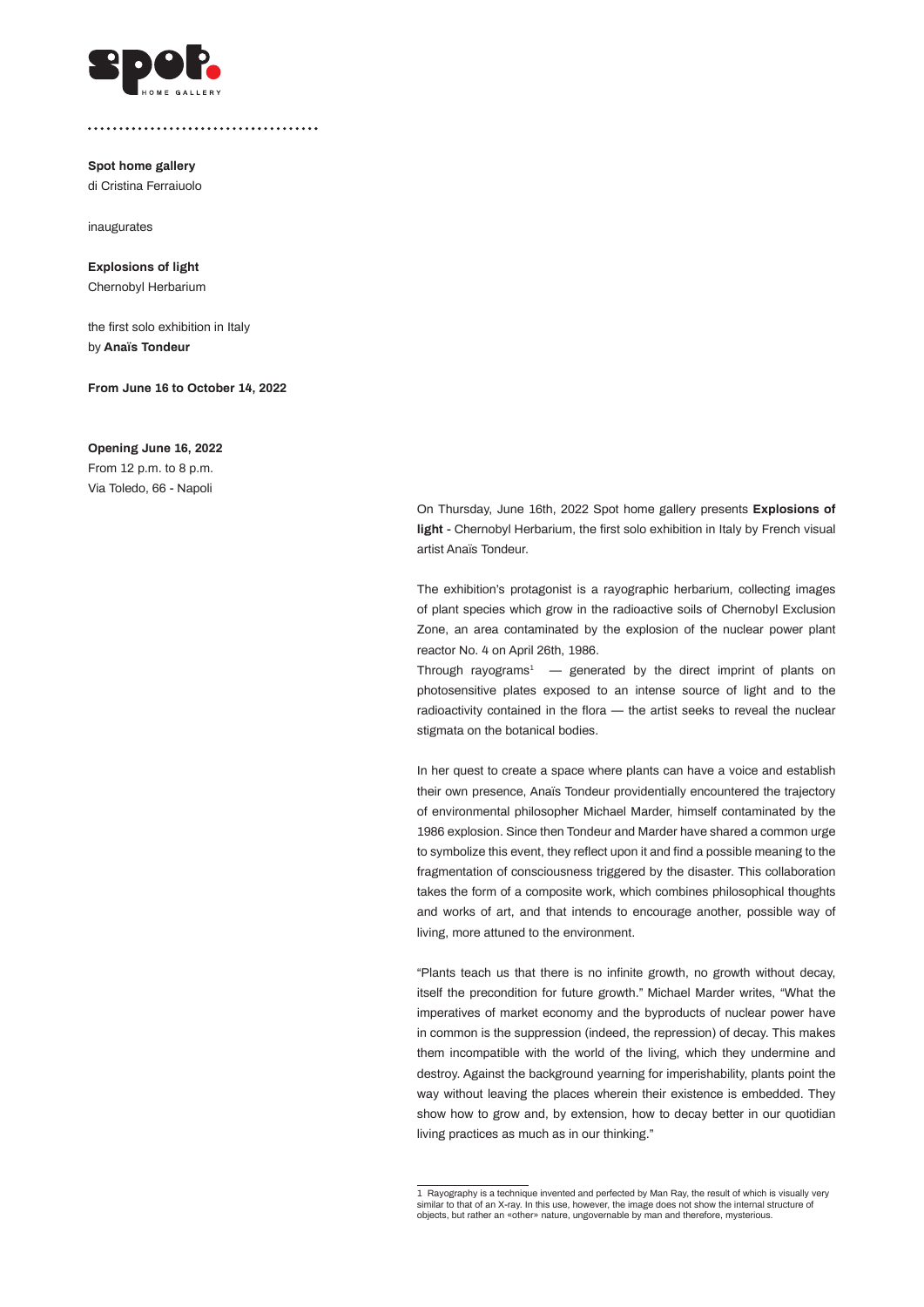

**Spot home gallery** di Cristina Ferraiuolo

inaugurates

**Explosions of light** Chernobyl Herbarium

the first solo exhibition in Italy by **Anaïs Tondeur**

**From June 16 to October 14, 2022** 

## **Opening June 16, 2022**

From 12 p.m. to 8 p.m. Via Toledo, 66 - Napoli

> On Thursday, June 16th, 2022 Spot home gallery presents **Explosions of light** - Chernobyl Herbarium, the first solo exhibition in Italy by French visual artist Anaïs Tondeur.

> The exhibition's protagonist is a rayographic herbarium, collecting images of plant species which grow in the radioactive soils of Chernobyl Exclusion Zone, an area contaminated by the explosion of the nuclear power plant reactor No. 4 on April 26th, 1986.

> Through rayograms<sup>1</sup>  $-$  generated by the direct imprint of plants on photosensitive plates exposed to an intense source of light and to the radioactivity contained in the flora — the artist seeks to reveal the nuclear stigmata on the botanical bodies.

> In her quest to create a space where plants can have a voice and establish their own presence, Anaïs Tondeur providentially encountered the trajectory of environmental philosopher Michael Marder, himself contaminated by the 1986 explosion. Since then Tondeur and Marder have shared a common urge to symbolize this event, they reflect upon it and find a possible meaning to the fragmentation of consciousness triggered by the disaster. This collaboration takes the form of a composite work, which combines philosophical thoughts and works of art, and that intends to encourage another, possible way of living, more attuned to the environment.

> "Plants teach us that there is no infinite growth, no growth without decay, itself the precondition for future growth." Michael Marder writes, "What the imperatives of market economy and the byproducts of nuclear power have in common is the suppression (indeed, the repression) of decay. This makes them incompatible with the world of the living, which they undermine and destroy. Against the background yearning for imperishability, plants point the way without leaving the places wherein their existence is embedded. They show how to grow and, by extension, how to decay better in our quotidian living practices as much as in our thinking."

<sup>1</sup> Rayography is a technique invented and perfected by Man Ray, the result of which is visually very similar to that of an X-ray. In this use, however, the image does not show the internal structure of objects, but rather an «other» nature, ungovernable by man and therefore, mysterious.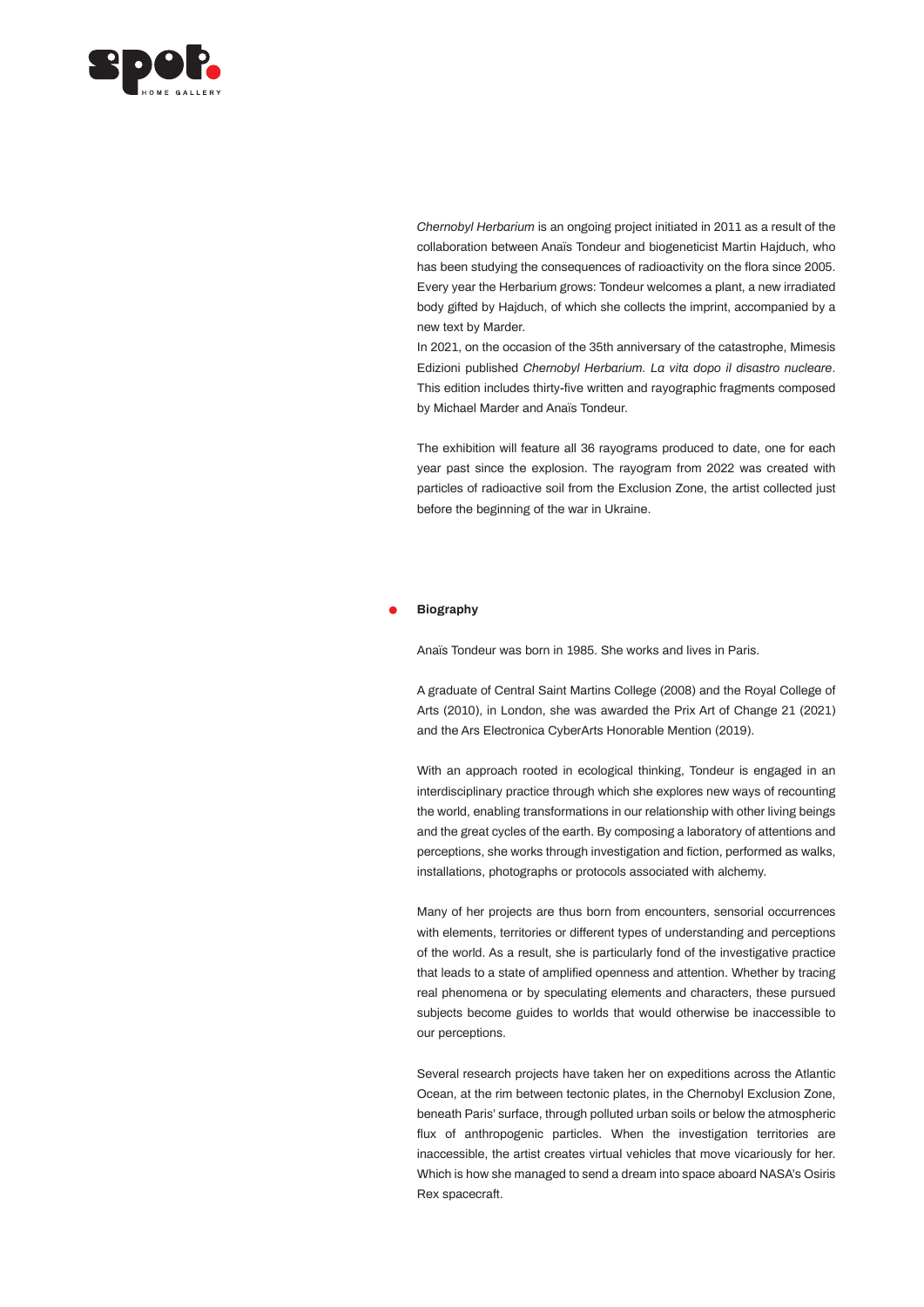

*Chernobyl Herbarium* is an ongoing project initiated in 2011 as a result of the collaboration between Anaïs Tondeur and biogeneticist Martin Hajduch, who has been studying the consequences of radioactivity on the flora since 2005. Every year the Herbarium grows: Tondeur welcomes a plant, a new irradiated body gifted by Hajduch, of which she collects the imprint, accompanied by a new text by Marder.

In 2021, on the occasion of the 35th anniversary of the catastrophe, Mimesis Edizioni published *Chernobyl Herbarium. La vita dopo il disastro nucleare*. This edition includes thirty-five written and rayographic fragments composed by Michael Marder and Anaïs Tondeur.

The exhibition will feature all 36 rayograms produced to date, one for each year past since the explosion. The rayogram from 2022 was created with particles of radioactive soil from the Exclusion Zone, the artist collected just before the beginning of the war in Ukraine.

## **Biography**

Anaïs Tondeur was born in 1985. She works and lives in Paris.

A graduate of Central Saint Martins College (2008) and the Royal College of Arts (2010), in London, she was awarded the Prix Art of Change 21 (2021) and the Ars Electronica CyberArts Honorable Mention (2019).

With an approach rooted in ecological thinking, Tondeur is engaged in an interdisciplinary practice through which she explores new ways of recounting the world, enabling transformations in our relationship with other living beings and the great cycles of the earth. By composing a laboratory of attentions and perceptions, she works through investigation and fiction, performed as walks, installations, photographs or protocols associated with alchemy.

Many of her projects are thus born from encounters, sensorial occurrences with elements, territories or different types of understanding and perceptions of the world. As a result, she is particularly fond of the investigative practice that leads to a state of amplified openness and attention. Whether by tracing real phenomena or by speculating elements and characters, these pursued subjects become guides to worlds that would otherwise be inaccessible to our perceptions.

Several research projects have taken her on expeditions across the Atlantic Ocean, at the rim between tectonic plates, in the Chernobyl Exclusion Zone, beneath Paris' surface, through polluted urban soils or below the atmospheric flux of anthropogenic particles. When the investigation territories are inaccessible, the artist creates virtual vehicles that move vicariously for her. Which is how she managed to send a dream into space aboard NASA's Osiris Rex spacecraft.